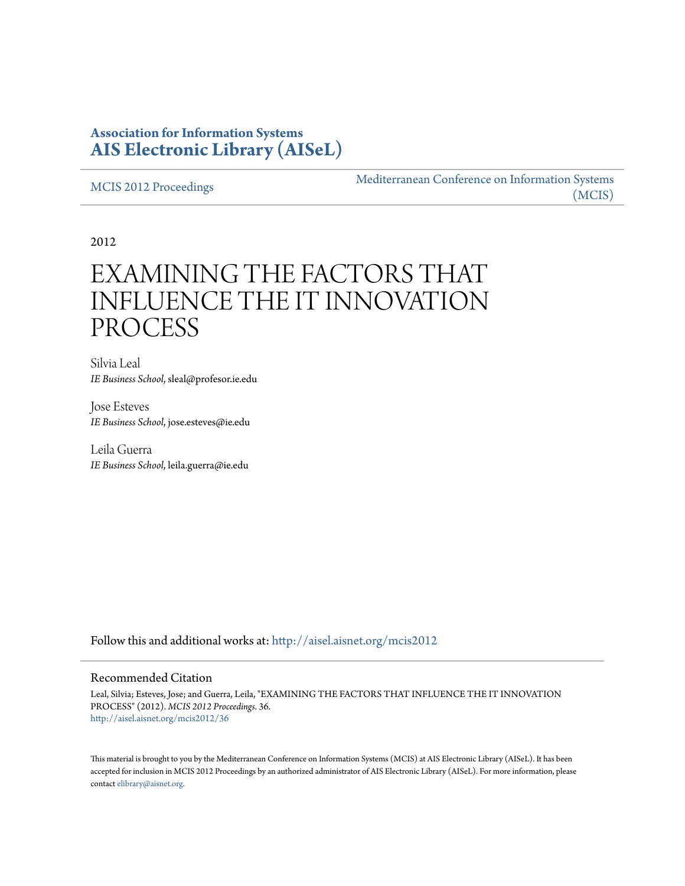# **Association for Information Systems [AIS Electronic Library \(AISeL\)](http://aisel.aisnet.org?utm_source=aisel.aisnet.org%2Fmcis2012%2F36&utm_medium=PDF&utm_campaign=PDFCoverPages)**

[MCIS 2012 Proceedings](http://aisel.aisnet.org/mcis2012?utm_source=aisel.aisnet.org%2Fmcis2012%2F36&utm_medium=PDF&utm_campaign=PDFCoverPages)

[Mediterranean Conference on Information Systems](http://aisel.aisnet.org/mcis?utm_source=aisel.aisnet.org%2Fmcis2012%2F36&utm_medium=PDF&utm_campaign=PDFCoverPages) [\(MCIS\)](http://aisel.aisnet.org/mcis?utm_source=aisel.aisnet.org%2Fmcis2012%2F36&utm_medium=PDF&utm_campaign=PDFCoverPages)

2012

# EXAMINING THE FACTORS THAT INFLUENCE THE IT INNOVATION PROCESS

Silvia Leal *IE Business School*, sleal@profesor.ie.edu

Jose Esteves *IE Business School*, jose.esteves@ie.edu

Leila Guerra *IE Business School*, leila.guerra@ie.edu

Follow this and additional works at: [http://aisel.aisnet.org/mcis2012](http://aisel.aisnet.org/mcis2012?utm_source=aisel.aisnet.org%2Fmcis2012%2F36&utm_medium=PDF&utm_campaign=PDFCoverPages)

### Recommended Citation

Leal, Silvia; Esteves, Jose; and Guerra, Leila, "EXAMINING THE FACTORS THAT INFLUENCE THE IT INNOVATION PROCESS" (2012). *MCIS 2012 Proceedings*. 36. [http://aisel.aisnet.org/mcis2012/36](http://aisel.aisnet.org/mcis2012/36?utm_source=aisel.aisnet.org%2Fmcis2012%2F36&utm_medium=PDF&utm_campaign=PDFCoverPages)

This material is brought to you by the Mediterranean Conference on Information Systems (MCIS) at AIS Electronic Library (AISeL). It has been accepted for inclusion in MCIS 2012 Proceedings by an authorized administrator of AIS Electronic Library (AISeL). For more information, please contact [elibrary@aisnet.org.](mailto:elibrary@aisnet.org%3E)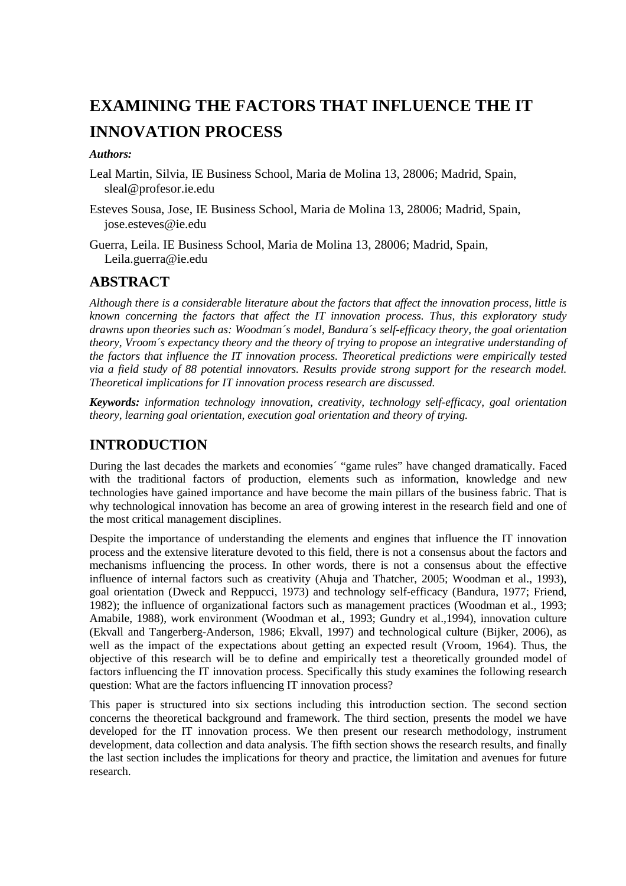# **EXAMINING THE FACTORS THAT INFLUENCE THE IT INNOVATION PROCESS**

## *Authors:*

Leal Martin, Silvia, IE Business School, Maria de Molina 13, 28006; Madrid, Spain, sleal@profesor.ie.edu

Esteves Sousa, Jose, IE Business School, Maria de Molina 13, 28006; Madrid, Spain, jose.esteves@ie.edu

Guerra, Leila. IE Business School, Maria de Molina 13, 28006; Madrid, Spain, Leila.guerra@ie.edu

## **ABSTRACT**

*Although there is a considerable literature about the factors that affect the innovation process, little is known concerning the factors that affect the IT innovation process. Thus, this exploratory study drawns upon theories such as: Woodman´s model, Bandura´s self-efficacy theory, the goal orientation theory, Vroom´s expectancy theory and the theory of trying to propose an integrative understanding of the factors that influence the IT innovation process. Theoretical predictions were empirically tested via a field study of 88 potential innovators. Results provide strong support for the research model. Theoretical implications for IT innovation process research are discussed.*

*Keywords: information technology innovation, creativity, technology self-efficacy, goal orientation theory, learning goal orientation, execution goal orientation and theory of trying.* 

## **INTRODUCTION**

During the last decades the markets and economies´ "game rules" have changed dramatically. Faced with the traditional factors of production, elements such as information, knowledge and new technologies have gained importance and have become the main pillars of the business fabric. That is why technological innovation has become an area of growing interest in the research field and one of the most critical management disciplines.

Despite the importance of understanding the elements and engines that influence the IT innovation process and the extensive literature devoted to this field, there is not a consensus about the factors and mechanisms influencing the process. In other words, there is not a consensus about the effective influence of internal factors such as creativity (Ahuja and Thatcher, 2005; Woodman et al., 1993), goal orientation (Dweck and Reppucci, 1973) and technology self-efficacy (Bandura, 1977; Friend, 1982); the influence of organizational factors such as management practices (Woodman et al., 1993; Amabile, 1988), work environment (Woodman et al., 1993; Gundry et al.,1994), innovation culture (Ekvall and Tangerberg-Anderson, 1986; Ekvall, 1997) and technological culture (Bijker, 2006), as well as the impact of the expectations about getting an expected result (Vroom, 1964). Thus, the objective of this research will be to define and empirically test a theoretically grounded model of factors influencing the IT innovation process. Specifically this study examines the following research question: What are the factors influencing IT innovation process?

This paper is structured into six sections including this introduction section. The second section concerns the theoretical background and framework. The third section, presents the model we have developed for the IT innovation process. We then present our research methodology, instrument development, data collection and data analysis. The fifth section shows the research results, and finally the last section includes the implications for theory and practice, the limitation and avenues for future research.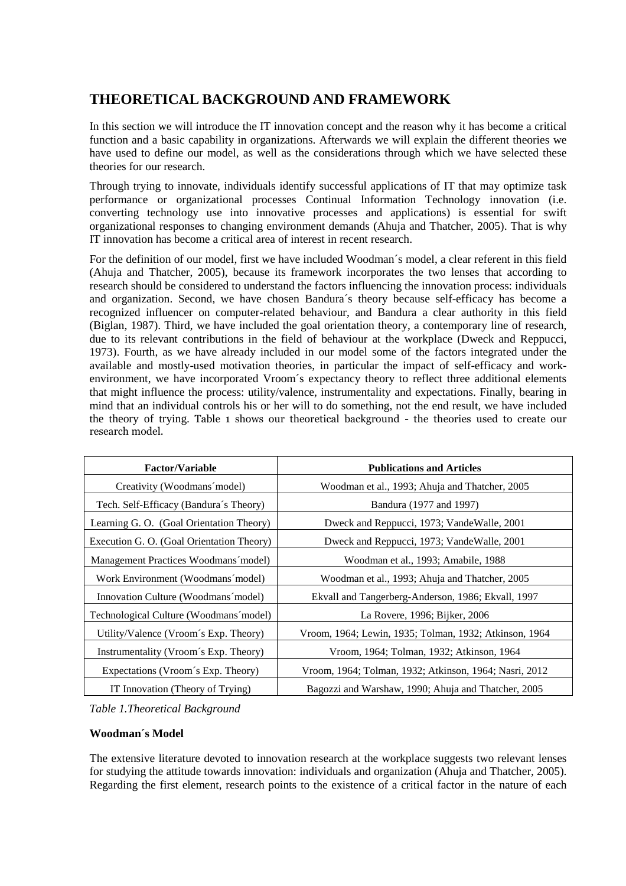# **THEORETICAL BACKGROUND AND FRAMEWORK**

In this section we will introduce the IT innovation concept and the reason why it has become a critical function and a basic capability in organizations. Afterwards we will explain the different theories we have used to define our model, as well as the considerations through which we have selected these theories for our research.

Through trying to innovate, individuals identify successful applications of IT that may optimize task performance or organizational processes Continual Information Technology innovation (i.e. converting technology use into innovative processes and applications) is essential for swift organizational responses to changing environment demands (Ahuja and Thatcher, 2005). That is why IT innovation has become a critical area of interest in recent research.

For the definition of our model, first we have included Woodman´s model, a clear referent in this field (Ahuja and Thatcher, 2005), because its framework incorporates the two lenses that according to research should be considered to understand the factors influencing the innovation process: individuals and organization. Second, we have chosen Bandura´s theory because self-efficacy has become a recognized influencer on computer-related behaviour, and Bandura a clear authority in this field (Biglan, 1987). Third, we have included the goal orientation theory, a contemporary line of research, due to its relevant contributions in the field of behaviour at the workplace (Dweck and Reppucci, 1973). Fourth, as we have already included in our model some of the factors integrated under the available and mostly-used motivation theories, in particular the impact of self-efficacy and workenvironment, we have incorporated Vroom´s expectancy theory to reflect three additional elements that might influence the process: utility/valence, instrumentality and expectations. Finally, bearing in mind that an individual controls his or her will to do something, not the end result, we have included the theory of trying. Table 1 shows our theoretical background - the theories used to create our research model.

| <b>Factor/Variable</b>                    | <b>Publications and Articles</b>                       |  |
|-------------------------------------------|--------------------------------------------------------|--|
| Creativity (Woodmans model)               | Woodman et al., 1993; Ahuja and Thatcher, 2005         |  |
| Tech. Self-Efficacy (Bandura's Theory)    | Bandura (1977 and 1997)                                |  |
| Learning G. O. (Goal Orientation Theory)  | Dweck and Reppucci, 1973; Vande Walle, 2001            |  |
| Execution G. O. (Goal Orientation Theory) | Dweck and Reppucci, 1973; Vande Walle, 2001            |  |
| Management Practices Woodmans model)      | Woodman et al., 1993; Amabile, 1988                    |  |
| Work Environment (Woodmans'model)         | Woodman et al., 1993; Ahuja and Thatcher, 2005         |  |
| Innovation Culture (Woodmans model)       | Ekvall and Tangerberg-Anderson, 1986; Ekvall, 1997     |  |
| Technological Culture (Woodmans' model)   | La Rovere, 1996; Bijker, 2006                          |  |
| Utility/Valence (Vroom's Exp. Theory)     | Vroom, 1964; Lewin, 1935; Tolman, 1932; Atkinson, 1964 |  |
| Instrumentality (Vroom's Exp. Theory)     | Vroom, 1964; Tolman, 1932; Atkinson, 1964              |  |
| Expectations (Vroom's Exp. Theory)        | Vroom, 1964; Tolman, 1932; Atkinson, 1964; Nasri, 2012 |  |
| IT Innovation (Theory of Trying)          | Bagozzi and Warshaw, 1990; Ahuja and Thatcher, 2005    |  |

*Table 1.Theoretical Background* 

## **Woodman´s Model**

The extensive literature devoted to innovation research at the workplace suggests two relevant lenses for studying the attitude towards innovation: individuals and organization (Ahuja and Thatcher, 2005). Regarding the first element, research points to the existence of a critical factor in the nature of each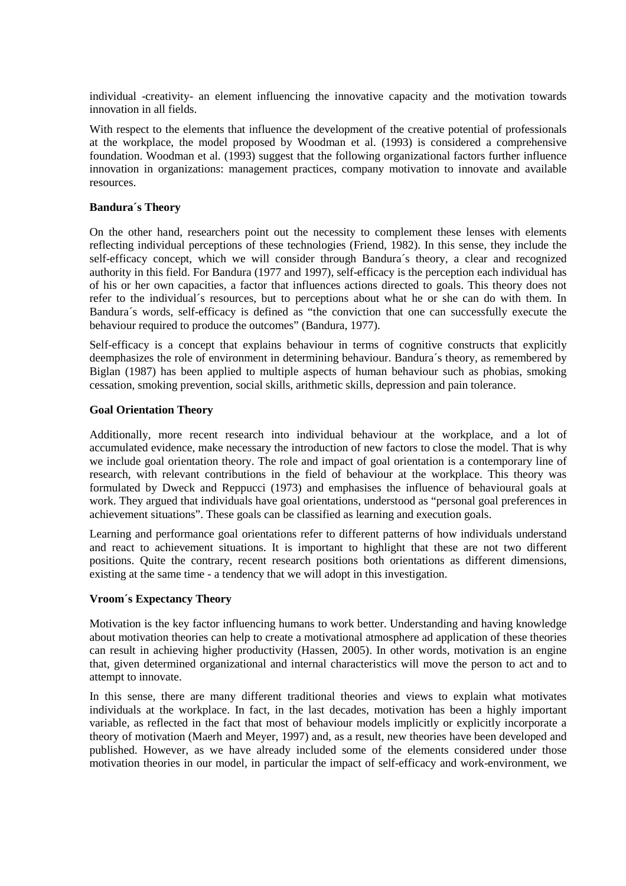individual -creativity- an element influencing the innovative capacity and the motivation towards innovation in all fields.

With respect to the elements that influence the development of the creative potential of professionals at the workplace, the model proposed by Woodman et al. (1993) is considered a comprehensive foundation. Woodman et al. (1993) suggest that the following organizational factors further influence innovation in organizations: management practices, company motivation to innovate and available resources.

### **Bandura´s Theory**

On the other hand, researchers point out the necessity to complement these lenses with elements reflecting individual perceptions of these technologies (Friend, 1982). In this sense, they include the self-efficacy concept, which we will consider through Bandura´s theory, a clear and recognized authority in this field. For Bandura (1977 and 1997), self-efficacy is the perception each individual has of his or her own capacities, a factor that influences actions directed to goals. This theory does not refer to the individual´s resources, but to perceptions about what he or she can do with them. In Bandura´s words, self-efficacy is defined as "the conviction that one can successfully execute the behaviour required to produce the outcomes" (Bandura, 1977).

Self-efficacy is a concept that explains behaviour in terms of cognitive constructs that explicitly deemphasizes the role of environment in determining behaviour. Bandura´s theory, as remembered by Biglan (1987) has been applied to multiple aspects of human behaviour such as phobias, smoking cessation, smoking prevention, social skills, arithmetic skills, depression and pain tolerance.

#### **Goal Orientation Theory**

Additionally, more recent research into individual behaviour at the workplace, and a lot of accumulated evidence, make necessary the introduction of new factors to close the model. That is why we include goal orientation theory. The role and impact of goal orientation is a contemporary line of research, with relevant contributions in the field of behaviour at the workplace. This theory was formulated by Dweck and Reppucci (1973) and emphasises the influence of behavioural goals at work. They argued that individuals have goal orientations, understood as "personal goal preferences in achievement situations". These goals can be classified as learning and execution goals.

Learning and performance goal orientations refer to different patterns of how individuals understand and react to achievement situations. It is important to highlight that these are not two different positions. Quite the contrary, recent research positions both orientations as different dimensions, existing at the same time - a tendency that we will adopt in this investigation.

## **Vroom´s Expectancy Theory**

Motivation is the key factor influencing humans to work better. Understanding and having knowledge about motivation theories can help to create a motivational atmosphere ad application of these theories can result in achieving higher productivity (Hassen, 2005). In other words, motivation is an engine that, given determined organizational and internal characteristics will move the person to act and to attempt to innovate.

In this sense, there are many different traditional theories and views to explain what motivates individuals at the workplace. In fact, in the last decades, motivation has been a highly important variable, as reflected in the fact that most of behaviour models implicitly or explicitly incorporate a theory of motivation (Maerh and Meyer, 1997) and, as a result, new theories have been developed and published. However, as we have already included some of the elements considered under those motivation theories in our model, in particular the impact of self-efficacy and work-environment, we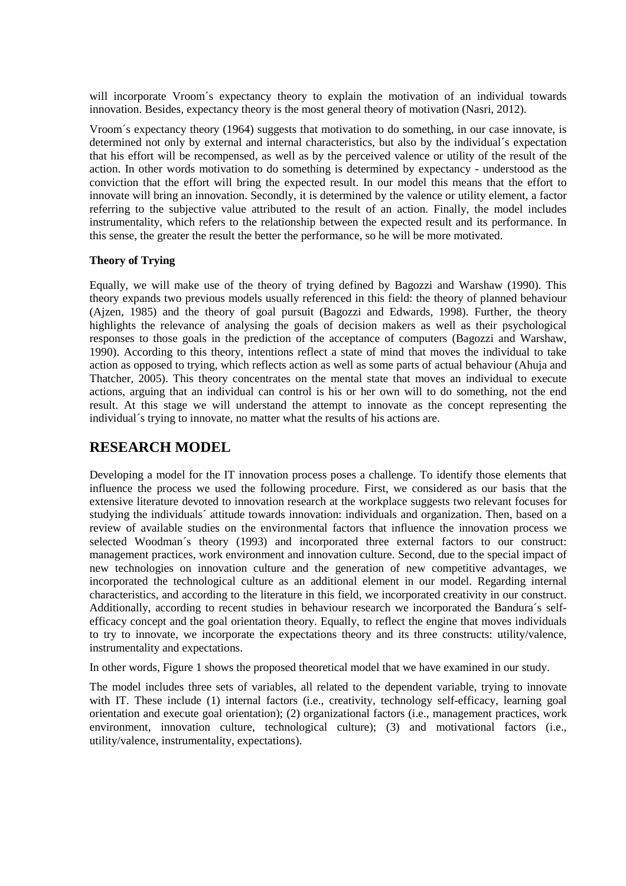will incorporate Vroom´s expectancy theory to explain the motivation of an individual towards innovation. Besides, expectancy theory is the most general theory of motivation (Nasri, 2012).

Vroom´s expectancy theory (1964) suggests that motivation to do something, in our case innovate, is determined not only by external and internal characteristics, but also by the individual´s expectation that his effort will be recompensed, as well as by the perceived valence or utility of the result of the action. In other words motivation to do something is determined by expectancy - understood as the conviction that the effort will bring the expected result. In our model this means that the effort to innovate will bring an innovation. Secondly, it is determined by the valence or utility element, a factor referring to the subjective value attributed to the result of an action. Finally, the model includes instrumentality, which refers to the relationship between the expected result and its performance. In this sense, the greater the result the better the performance, so he will be more motivated.

## **Theory of Trying**

Equally, we will make use of the theory of trying defined by Bagozzi and Warshaw (1990). This theory expands two previous models usually referenced in this field: the theory of planned behaviour (Ajzen, 1985) and the theory of goal pursuit (Bagozzi and Edwards, 1998). Further, the theory highlights the relevance of analysing the goals of decision makers as well as their psychological responses to those goals in the prediction of the acceptance of computers (Bagozzi and Warshaw, 1990). According to this theory, intentions reflect a state of mind that moves the individual to take action as opposed to trying, which reflects action as well as some parts of actual behaviour (Ahuja and Thatcher, 2005). This theory concentrates on the mental state that moves an individual to execute actions, arguing that an individual can control is his or her own will to do something, not the end result. At this stage we will understand the attempt to innovate as the concept representing the individual´s trying to innovate, no matter what the results of his actions are.

## **RESEARCH MODEL**

Developing a model for the IT innovation process poses a challenge. To identify those elements that influence the process we used the following procedure. First, we considered as our basis that the extensive literature devoted to innovation research at the workplace suggests two relevant focuses for studying the individuals´ attitude towards innovation: individuals and organization. Then, based on a review of available studies on the environmental factors that influence the innovation process we selected Woodman´s theory (1993) and incorporated three external factors to our construct: management practices, work environment and innovation culture. Second, due to the special impact of new technologies on innovation culture and the generation of new competitive advantages, we incorporated the technological culture as an additional element in our model. Regarding internal characteristics, and according to the literature in this field, we incorporated creativity in our construct. Additionally, according to recent studies in behaviour research we incorporated the Bandura´s selfefficacy concept and the goal orientation theory. Equally, to reflect the engine that moves individuals to try to innovate, we incorporate the expectations theory and its three constructs: utility/valence, instrumentality and expectations.

In other words, Figure 1 shows the proposed theoretical model that we have examined in our study.

The model includes three sets of variables, all related to the dependent variable, trying to innovate with IT. These include (1) internal factors (i.e., creativity, technology self-efficacy, learning goal orientation and execute goal orientation); (2) organizational factors (i.e., management practices, work environment, innovation culture, technological culture); (3) and motivational factors (i.e., utility/valence, instrumentality, expectations).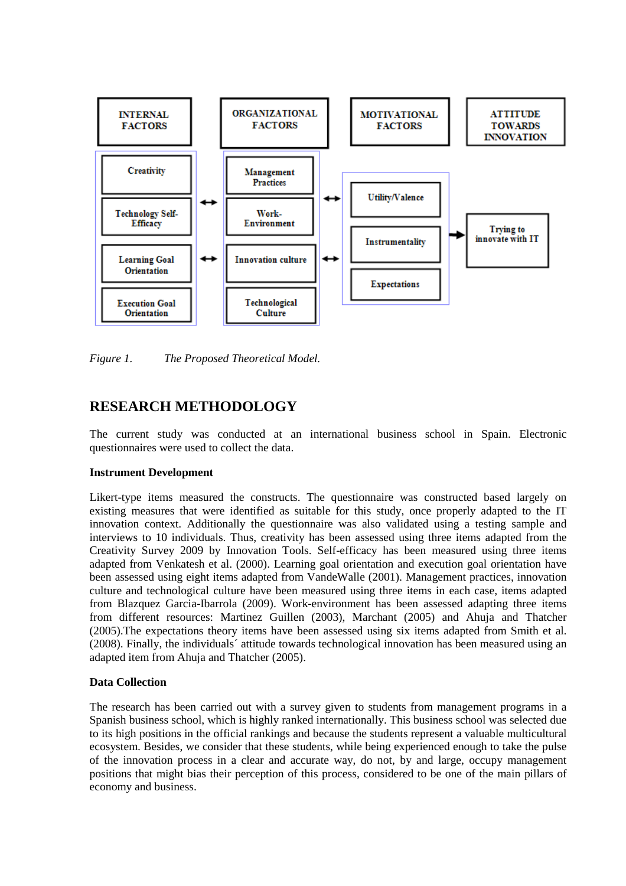

*Figure 1. The Proposed Theoretical Model.* 

## **RESEARCH METHODOLOGY**

The current study was conducted at an international business school in Spain. Electronic questionnaires were used to collect the data.

## **Instrument Development**

Likert-type items measured the constructs. The questionnaire was constructed based largely on existing measures that were identified as suitable for this study, once properly adapted to the IT innovation context. Additionally the questionnaire was also validated using a testing sample and interviews to 10 individuals. Thus, creativity has been assessed using three items adapted from the Creativity Survey 2009 by Innovation Tools. Self-efficacy has been measured using three items adapted from Venkatesh et al. (2000). Learning goal orientation and execution goal orientation have been assessed using eight items adapted from VandeWalle (2001). Management practices, innovation culture and technological culture have been measured using three items in each case, items adapted from Blazquez Garcia-Ibarrola (2009). Work-environment has been assessed adapting three items from different resources: Martinez Guillen (2003), Marchant (2005) and Ahuja and Thatcher (2005).The expectations theory items have been assessed using six items adapted from Smith et al. (2008). Finally, the individuals´ attitude towards technological innovation has been measured using an adapted item from Ahuja and Thatcher (2005).

## **Data Collection**

The research has been carried out with a survey given to students from management programs in a Spanish business school, which is highly ranked internationally. This business school was selected due to its high positions in the official rankings and because the students represent a valuable multicultural ecosystem. Besides, we consider that these students, while being experienced enough to take the pulse of the innovation process in a clear and accurate way, do not, by and large, occupy management positions that might bias their perception of this process, considered to be one of the main pillars of economy and business.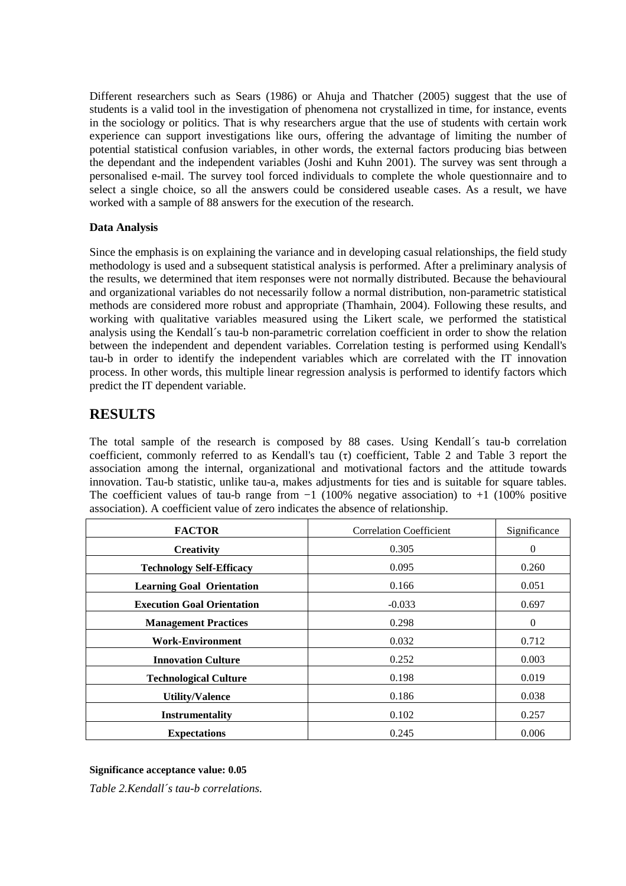Different researchers such as Sears (1986) or Ahuja and Thatcher (2005) suggest that the use of students is a valid tool in the investigation of phenomena not crystallized in time, for instance, events in the sociology or politics. That is why researchers argue that the use of students with certain work experience can support investigations like ours, offering the advantage of limiting the number of potential statistical confusion variables, in other words, the external factors producing bias between the dependant and the independent variables (Joshi and Kuhn 2001). The survey was sent through a personalised e-mail. The survey tool forced individuals to complete the whole questionnaire and to select a single choice, so all the answers could be considered useable cases. As a result, we have worked with a sample of 88 answers for the execution of the research.

## **Data Analysis**

Since the emphasis is on explaining the variance and in developing casual relationships, the field study methodology is used and a subsequent statistical analysis is performed. After a preliminary analysis of the results, we determined that item responses were not normally distributed. Because the behavioural and organizational variables do not necessarily follow a normal distribution, non-parametric statistical methods are considered more robust and appropriate (Thamhain, 2004). Following these results, and working with qualitative variables measured using the Likert scale, we performed the statistical analysis using the Kendall´s tau-b non-parametric correlation coefficient in order to show the relation between the independent and dependent variables. Correlation testing is performed using Kendall's tau-b in order to identify the independent variables which are correlated with the IT innovation process. In other words, this multiple linear regression analysis is performed to identify factors which predict the IT dependent variable.

# **RESULTS**

The total sample of the research is composed by 88 cases. Using Kendall´s tau-b correlation coefficient, commonly referred to as Kendall's tau (τ) coefficient, Table 2 and Table 3 report the association among the internal, organizational and motivational factors and the attitude towards innovation. Tau-b statistic, unlike tau-a, makes adjustments for ties and is suitable for square tables. The coefficient values of tau-b range from  $-1$  (100% negative association) to  $+1$  (100% positive association). A coefficient value of zero indicates the absence of relationship.

| <b>FACTOR</b>                     | <b>Correlation Coefficient</b> | Significance |
|-----------------------------------|--------------------------------|--------------|
| <b>Creativity</b>                 | 0.305                          | $\theta$     |
| <b>Technology Self-Efficacy</b>   | 0.095                          | 0.260        |
| <b>Learning Goal Orientation</b>  | 0.166                          | 0.051        |
| <b>Execution Goal Orientation</b> | $-0.033$                       | 0.697        |
| <b>Management Practices</b>       | 0.298                          | $\Omega$     |
| <b>Work-Environment</b>           | 0.032                          | 0.712        |
| <b>Innovation Culture</b>         | 0.252                          | 0.003        |
| <b>Technological Culture</b>      | 0.198                          | 0.019        |
| <b>Utility/Valence</b>            | 0.186                          | 0.038        |
| <b>Instrumentality</b>            | 0.102                          | 0.257        |
| <b>Expectations</b>               | 0.245                          | 0.006        |

## **Significance acceptance value: 0.05**

*Table 2.Kendall´s tau-b correlations.*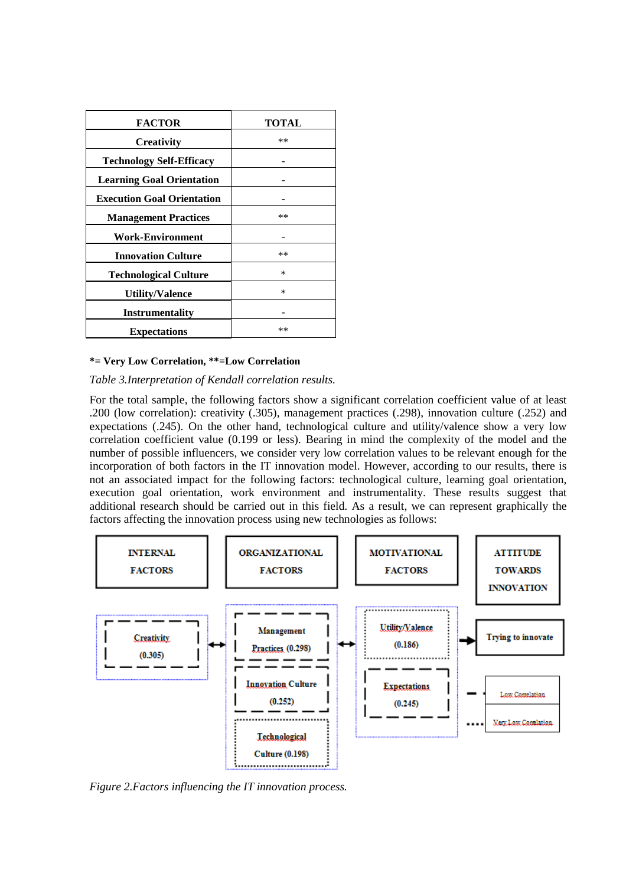| <b>FACTOR</b>                     | <b>TOTAL</b> |
|-----------------------------------|--------------|
| <b>Creativity</b>                 | **           |
| <b>Technology Self-Efficacy</b>   |              |
| <b>Learning Goal Orientation</b>  |              |
| <b>Execution Goal Orientation</b> |              |
| <b>Management Practices</b>       | **           |
| <b>Work-Environment</b>           |              |
| <b>Innovation Culture</b>         | $**$         |
| <b>Technological Culture</b>      | $\ast$       |
| <b>Utility/Valence</b>            | $\ast$       |
| Instrumentality                   |              |
| <b>Expectations</b>               | $***$        |

#### **\*= Very Low Correlation, \*\*=Low Correlation**

*Table 3.Interpretation of Kendall correlation results.* 

For the total sample, the following factors show a significant correlation coefficient value of at least .200 (low correlation): creativity (.305), management practices (.298), innovation culture (.252) and expectations (.245). On the other hand, technological culture and utility/valence show a very low correlation coefficient value (0.199 or less). Bearing in mind the complexity of the model and the number of possible influencers, we consider very low correlation values to be relevant enough for the incorporation of both factors in the IT innovation model. However, according to our results, there is not an associated impact for the following factors: technological culture, learning goal orientation, execution goal orientation, work environment and instrumentality. These results suggest that additional research should be carried out in this field. As a result, we can represent graphically the factors affecting the innovation process using new technologies as follows:



*Figure 2.Factors influencing the IT innovation process.*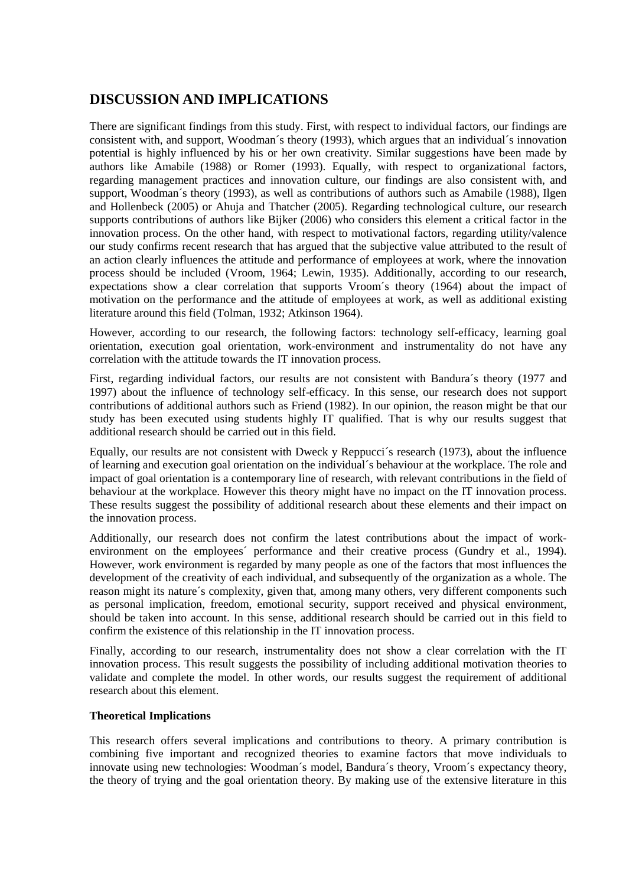# **DISCUSSION AND IMPLICATIONS**

There are significant findings from this study. First, with respect to individual factors, our findings are consistent with, and support, Woodman´s theory (1993), which argues that an individual´s innovation potential is highly influenced by his or her own creativity. Similar suggestions have been made by authors like Amabile (1988) or Romer (1993). Equally, with respect to organizational factors, regarding management practices and innovation culture, our findings are also consistent with, and support, Woodman´s theory (1993), as well as contributions of authors such as Amabile (1988), Ilgen and Hollenbeck (2005) or Ahuja and Thatcher (2005). Regarding technological culture, our research supports contributions of authors like Bijker (2006) who considers this element a critical factor in the innovation process. On the other hand, with respect to motivational factors, regarding utility/valence our study confirms recent research that has argued that the subjective value attributed to the result of an action clearly influences the attitude and performance of employees at work, where the innovation process should be included (Vroom, 1964; Lewin, 1935). Additionally, according to our research, expectations show a clear correlation that supports Vroom´s theory (1964) about the impact of motivation on the performance and the attitude of employees at work, as well as additional existing literature around this field (Tolman, 1932; Atkinson 1964).

However, according to our research, the following factors: technology self-efficacy, learning goal orientation, execution goal orientation, work-environment and instrumentality do not have any correlation with the attitude towards the IT innovation process.

First, regarding individual factors, our results are not consistent with Bandura´s theory (1977 and 1997) about the influence of technology self-efficacy. In this sense, our research does not support contributions of additional authors such as Friend (1982). In our opinion, the reason might be that our study has been executed using students highly IT qualified. That is why our results suggest that additional research should be carried out in this field.

Equally, our results are not consistent with Dweck y Reppucci´s research (1973), about the influence of learning and execution goal orientation on the individual´s behaviour at the workplace. The role and impact of goal orientation is a contemporary line of research, with relevant contributions in the field of behaviour at the workplace. However this theory might have no impact on the IT innovation process. These results suggest the possibility of additional research about these elements and their impact on the innovation process.

Additionally, our research does not confirm the latest contributions about the impact of workenvironment on the employees' performance and their creative process (Gundry et al., 1994). However, work environment is regarded by many people as one of the factors that most influences the development of the creativity of each individual, and subsequently of the organization as a whole. The reason might its nature´s complexity, given that, among many others, very different components such as personal implication, freedom, emotional security, support received and physical environment, should be taken into account. In this sense, additional research should be carried out in this field to confirm the existence of this relationship in the IT innovation process.

Finally, according to our research, instrumentality does not show a clear correlation with the IT innovation process. This result suggests the possibility of including additional motivation theories to validate and complete the model. In other words, our results suggest the requirement of additional research about this element.

## **Theoretical Implications**

This research offers several implications and contributions to theory. A primary contribution is combining five important and recognized theories to examine factors that move individuals to innovate using new technologies: Woodman´s model, Bandura´s theory, Vroom´s expectancy theory, the theory of trying and the goal orientation theory. By making use of the extensive literature in this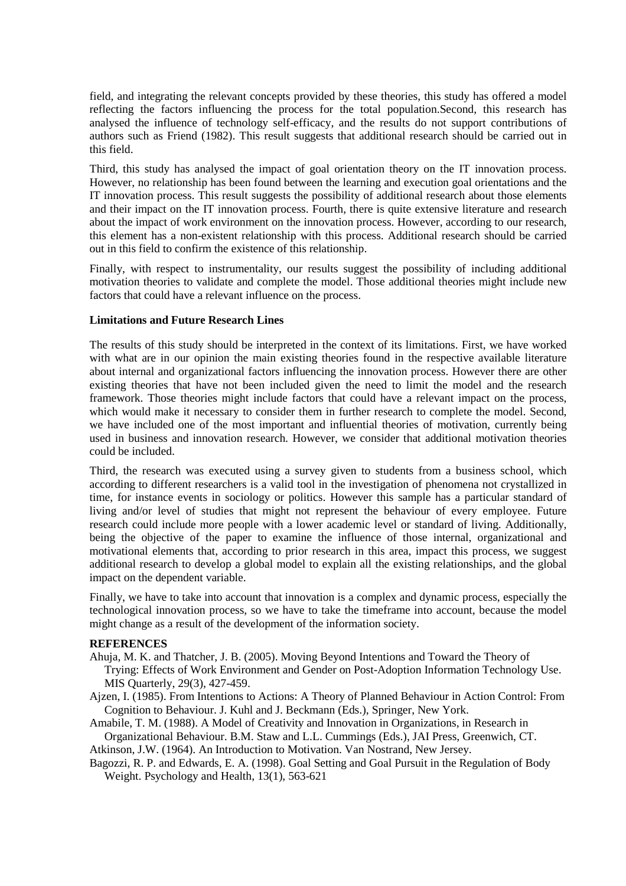field, and integrating the relevant concepts provided by these theories, this study has offered a model reflecting the factors influencing the process for the total population.Second, this research has analysed the influence of technology self-efficacy, and the results do not support contributions of authors such as Friend (1982). This result suggests that additional research should be carried out in this field.

Third, this study has analysed the impact of goal orientation theory on the IT innovation process. However, no relationship has been found between the learning and execution goal orientations and the IT innovation process. This result suggests the possibility of additional research about those elements and their impact on the IT innovation process. Fourth, there is quite extensive literature and research about the impact of work environment on the innovation process. However, according to our research, this element has a non-existent relationship with this process. Additional research should be carried out in this field to confirm the existence of this relationship.

Finally, with respect to instrumentality, our results suggest the possibility of including additional motivation theories to validate and complete the model. Those additional theories might include new factors that could have a relevant influence on the process.

## **Limitations and Future Research Lines**

The results of this study should be interpreted in the context of its limitations. First, we have worked with what are in our opinion the main existing theories found in the respective available literature about internal and organizational factors influencing the innovation process. However there are other existing theories that have not been included given the need to limit the model and the research framework. Those theories might include factors that could have a relevant impact on the process, which would make it necessary to consider them in further research to complete the model. Second, we have included one of the most important and influential theories of motivation, currently being used in business and innovation research. However, we consider that additional motivation theories could be included.

Third, the research was executed using a survey given to students from a business school, which according to different researchers is a valid tool in the investigation of phenomena not crystallized in time, for instance events in sociology or politics. However this sample has a particular standard of living and/or level of studies that might not represent the behaviour of every employee. Future research could include more people with a lower academic level or standard of living. Additionally, being the objective of the paper to examine the influence of those internal, organizational and motivational elements that, according to prior research in this area, impact this process, we suggest additional research to develop a global model to explain all the existing relationships, and the global impact on the dependent variable.

Finally, we have to take into account that innovation is a complex and dynamic process, especially the technological innovation process, so we have to take the timeframe into account, because the model might change as a result of the development of the information society.

#### **REFERENCES**

- Ahuja, M. K. and Thatcher, J. B. (2005). Moving Beyond Intentions and Toward the Theory of Trying: Effects of Work Environment and Gender on Post-Adoption Information Technology Use. MIS Quarterly, 29(3), 427-459.
- Ajzen, I. (1985). From Intentions to Actions: A Theory of Planned Behaviour in Action Control: From Cognition to Behaviour. J. Kuhl and J. Beckmann (Eds.), Springer, New York.

Amabile, T. M. (1988). A Model of Creativity and Innovation in Organizations, in Research in Organizational Behaviour. B.M. Staw and L.L. Cummings (Eds.), JAI Press, Greenwich, CT. Atkinson, J.W. (1964). An Introduction to Motivation. Van Nostrand, New Jersey.

Bagozzi, R. P. and Edwards, E. A. (1998). Goal Setting and Goal Pursuit in the Regulation of Body Weight. Psychology and Health, 13(1), 563-621